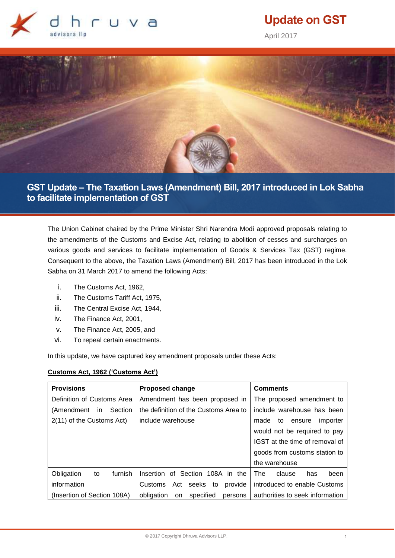

# **Update on GST**

April 2017



**GST Update – The Taxation Laws (Amendment) Bill, 2017 introduced in Lok Sabha to facilitate implementation of GST**

The Union Cabinet chaired by the Prime Minister Shri Narendra Modi approved proposals relating to the amendments of the Customs and Excise Act, relating to abolition of cesses and surcharges on various goods and services to facilitate implementation of Goods & Services Tax (GST) regime. Consequent to the above, the Taxation Laws (Amendment) Bill, 2017 has been introduced in the Lok Sabha on 31 March 2017 to amend the following Acts:

- i. The Customs Act, 1962,
- ii. The Customs Tariff Act, 1975,
- iii. The Central Excise Act, 1944,
- iv. The Finance Act, 2001,
- v. The Finance Act, 2005, and
- vi. To repeal certain enactments.

In this update, we have captured key amendment proposals under these Acts:

# **Customs Act, 1962 ('Customs Act')**

| <b>Provisions</b>            | <b>Proposed change</b>                   | <b>Comments</b>                  |
|------------------------------|------------------------------------------|----------------------------------|
| Definition of Customs Area   | Amendment has been proposed in           | The proposed amendment to        |
| (Amendment<br>Section<br>in. | the definition of the Customs Area to    | include warehouse has been       |
| 2(11) of the Customs Act)    | include warehouse                        | made<br>importer<br>to<br>ensure |
|                              |                                          | would not be required to pay     |
|                              |                                          | IGST at the time of removal of   |
|                              |                                          | goods from customs station to    |
|                              |                                          | the warehouse                    |
| furnish<br>Obligation<br>to  | Insertion of Section<br>108A in the      | The<br>clause<br>been<br>has     |
| information                  | seeks<br>Customs<br>Act<br>provide<br>to | introduced to enable Customs     |
| (Insertion of Section 108A)  | obligation<br>specified<br>on<br>persons | authorities to seek information  |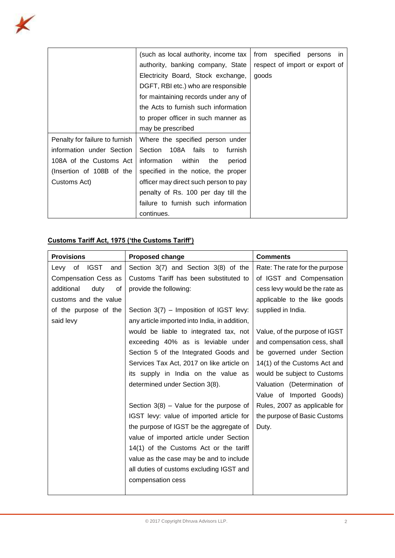

|                                | (such as local authority, income tax   | specified<br>from<br>persons<br>in |
|--------------------------------|----------------------------------------|------------------------------------|
|                                | authority, banking company, State      | respect of import or export of     |
|                                | Electricity Board, Stock exchange,     | goods                              |
|                                | DGFT, RBI etc.) who are responsible    |                                    |
|                                | for maintaining records under any of   |                                    |
|                                | the Acts to furnish such information   |                                    |
|                                | to proper officer in such manner as    |                                    |
|                                | may be prescribed                      |                                    |
| Penalty for failure to furnish | Where the specified person under       |                                    |
| information under Section      | 108A fails to<br>Section<br>furnish    |                                    |
| 108A of the Customs Act        | within<br>information<br>the<br>period |                                    |
| (Insertion of 108B of the      | specified in the notice, the proper    |                                    |
| Customs Act)                   | officer may direct such person to pay  |                                    |
|                                | penalty of Rs. 100 per day till the    |                                    |
|                                | failure to furnish such information    |                                    |
|                                | continues.                             |                                    |

# **Customs Tariff Act, 1975 ('the Customs Tariff')**

| <b>Provisions</b>                | <b>Proposed change</b>                        | <b>Comments</b>                |
|----------------------------------|-----------------------------------------------|--------------------------------|
| <b>IGST</b><br>of<br>Levy<br>and | Section 3(7) and Section 3(8) of the          | Rate: The rate for the purpose |
| Compensation Cess as             | Customs Tariff has been substituted to        | of IGST and Compensation       |
| additional<br>duty<br>οf         | provide the following:                        | cess levy would be the rate as |
| customs and the value            |                                               | applicable to the like goods   |
| of the purpose of the            | Section 3(7) - Imposition of IGST levy:       | supplied in India.             |
| said levy                        | any article imported into India, in addition, |                                |
|                                  | would be liable to integrated tax, not        | Value, of the purpose of IGST  |
|                                  | exceeding 40% as is leviable under            | and compensation cess, shall   |
|                                  | Section 5 of the Integrated Goods and         | be governed under Section      |
|                                  | Services Tax Act, 2017 on like article on     | 14(1) of the Customs Act and   |
|                                  | its supply in India on the value as           | would be subject to Customs    |
|                                  | determined under Section 3(8).                | Valuation (Determination of    |
|                                  |                                               | Value of Imported Goods)       |
|                                  | Section $3(8)$ – Value for the purpose of     | Rules, 2007 as applicable for  |
|                                  | IGST levy: value of imported article for      | the purpose of Basic Customs   |
|                                  | the purpose of IGST be the aggregate of       | Duty.                          |
|                                  | value of imported article under Section       |                                |
|                                  | 14(1) of the Customs Act or the tariff        |                                |
|                                  | value as the case may be and to include       |                                |
|                                  | all duties of customs excluding IGST and      |                                |
|                                  | compensation cess                             |                                |
|                                  |                                               |                                |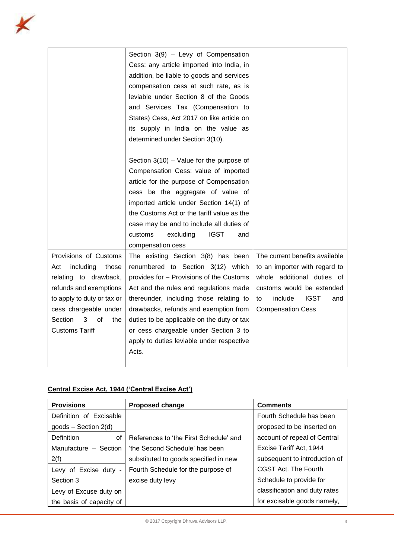|                            | Section $3(9)$ - Levy of Compensation      |                                     |
|----------------------------|--------------------------------------------|-------------------------------------|
|                            | Cess: any article imported into India, in  |                                     |
|                            | addition, be liable to goods and services  |                                     |
|                            | compensation cess at such rate, as is      |                                     |
|                            | leviable under Section 8 of the Goods      |                                     |
|                            | and Services Tax (Compensation to          |                                     |
|                            | States) Cess, Act 2017 on like article on  |                                     |
|                            | its supply in India on the value as        |                                     |
|                            | determined under Section 3(10).            |                                     |
|                            |                                            |                                     |
|                            | Section $3(10)$ – Value for the purpose of |                                     |
|                            | Compensation Cess: value of imported       |                                     |
|                            | article for the purpose of Compensation    |                                     |
|                            | cess be the aggregate of value of          |                                     |
|                            | imported article under Section 14(1) of    |                                     |
|                            | the Customs Act or the tariff value as the |                                     |
|                            | case may be and to include all duties of   |                                     |
|                            | <b>IGST</b><br>customs<br>excluding<br>and |                                     |
|                            | compensation cess                          |                                     |
| Provisions of Customs      | The existing Section 3(8) has been         | The current benefits available      |
| including<br>those<br>Act  | renumbered to Section 3(12) which          | to an importer with regard to       |
| relating to drawback,      | provides for - Provisions of the Customs   | whole additional duties of          |
| refunds and exemptions     | Act and the rules and regulations made     | customs would be extended           |
| to apply to duty or tax or | thereunder, including those relating to    | include<br><b>IGST</b><br>to<br>and |
| cess chargeable under      | drawbacks, refunds and exemption from      | <b>Compensation Cess</b>            |
| Section<br>3<br>οf<br>the  | duties to be applicable on the duty or tax |                                     |
| <b>Customs Tariff</b>      | or cess chargeable under Section 3 to      |                                     |
|                            | apply to duties leviable under respective  |                                     |
|                            | Acts.                                      |                                     |
|                            |                                            |                                     |

# **Central Excise Act, 1944 ('Central Excise Act')**

| <b>Provisions</b>        | <b>Proposed change</b>                 | <b>Comments</b>               |
|--------------------------|----------------------------------------|-------------------------------|
| Definition of Excisable  |                                        | Fourth Schedule has been      |
| $goods - Section 2(d)$   |                                        | proposed to be inserted on    |
| Definition<br>οf         | References to 'the First Schedule' and | account of repeal of Central  |
| Manufacture - Section    | 'the Second Schedule' has been         | Excise Tariff Act, 1944       |
| 2(f)                     | substituted to goods specified in new  | subsequent to introduction of |
| Levy of Excise duty -    | Fourth Schedule for the purpose of     | CGST Act. The Fourth          |
| Section 3                | excise duty levy                       | Schedule to provide for       |
| Levy of Excuse duty on   |                                        | classification and duty rates |
| the basis of capacity of |                                        | for excisable goods namely,   |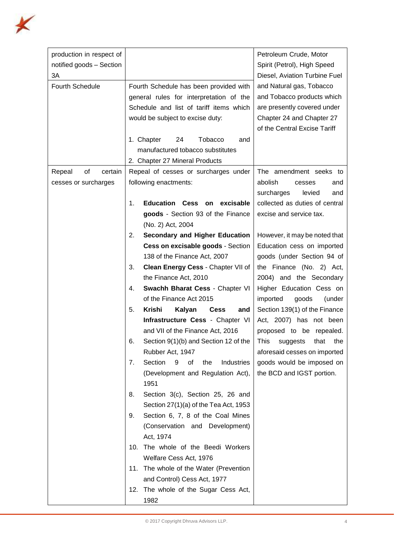

| production in respect of<br>notified goods - Section<br>ЗA |    |                                                                                                                                                                                                                                                   | Petroleum Crude, Motor<br>Spirit (Petrol), High Speed<br>Diesel, Aviation Turbine Fuel                                                             |
|------------------------------------------------------------|----|---------------------------------------------------------------------------------------------------------------------------------------------------------------------------------------------------------------------------------------------------|----------------------------------------------------------------------------------------------------------------------------------------------------|
| <b>Fourth Schedule</b>                                     |    | Fourth Schedule has been provided with<br>general rules for interpretation of the<br>Schedule and list of tariff items which<br>would be subject to excise duty:<br><b>Tobacco</b><br>1. Chapter<br>24<br>and<br>manufactured tobacco substitutes | and Natural gas, Tobacco<br>and Tobacco products which<br>are presently covered under<br>Chapter 24 and Chapter 27<br>of the Central Excise Tariff |
|                                                            |    | 2. Chapter 27 Mineral Products                                                                                                                                                                                                                    |                                                                                                                                                    |
| of<br>certain<br>Repeal<br>cesses or surcharges            |    | Repeal of cesses or surcharges under<br>following enactments:                                                                                                                                                                                     | The amendment seeks to<br>abolish<br>and<br>cesses<br>surcharges<br>levied<br>and                                                                  |
|                                                            | 1. | Education Cess on excisable<br>goods - Section 93 of the Finance<br>(No. 2) Act, 2004                                                                                                                                                             | collected as duties of central<br>excise and service tax.                                                                                          |
|                                                            | 2. | <b>Secondary and Higher Education</b><br>Cess on excisable goods - Section<br>138 of the Finance Act, 2007                                                                                                                                        | However, it may be noted that<br>Education cess on imported<br>goods (under Section 94 of                                                          |
|                                                            | 3. | Clean Energy Cess - Chapter VII of<br>the Finance Act, 2010                                                                                                                                                                                       | the Finance (No. 2) Act,<br>2004) and the Secondary                                                                                                |
|                                                            | 4. | Swachh Bharat Cess - Chapter VI<br>of the Finance Act 2015                                                                                                                                                                                        | Higher Education Cess on<br>imported<br>goods<br>(under                                                                                            |
|                                                            | 5. | <b>Krishi</b><br>Kalyan<br><b>Cess</b><br>and<br>Infrastructure Cess - Chapter VI<br>and VII of the Finance Act, 2016                                                                                                                             | Section 139(1) of the Finance<br>Act, 2007) has not been<br>proposed to be repealed.                                                               |
|                                                            | 6. | Section 9(1)(b) and Section 12 of the<br>Rubber Act, 1947                                                                                                                                                                                         | This suggests<br>that the<br>aforesaid cesses on imported                                                                                          |
|                                                            | 7. | Section<br>9<br>of<br>the<br>Industries<br>(Development and Regulation Act),<br>1951                                                                                                                                                              | goods would be imposed on<br>the BCD and IGST portion.                                                                                             |
|                                                            | 8. | Section 3(c), Section 25, 26 and<br>Section $27(1)(a)$ of the Tea Act, 1953                                                                                                                                                                       |                                                                                                                                                    |
|                                                            | 9. | Section 6, 7, 8 of the Coal Mines<br>(Conservation and Development)<br>Act, 1974                                                                                                                                                                  |                                                                                                                                                    |
|                                                            |    | 10. The whole of the Beedi Workers                                                                                                                                                                                                                |                                                                                                                                                    |
|                                                            |    | Welfare Cess Act, 1976                                                                                                                                                                                                                            |                                                                                                                                                    |
|                                                            |    | 11. The whole of the Water (Prevention                                                                                                                                                                                                            |                                                                                                                                                    |
|                                                            |    | and Control) Cess Act, 1977                                                                                                                                                                                                                       |                                                                                                                                                    |
|                                                            |    | 12. The whole of the Sugar Cess Act,<br>1982                                                                                                                                                                                                      |                                                                                                                                                    |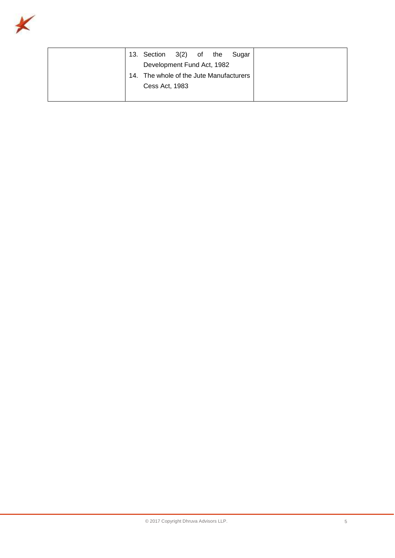

| 13. Section 3(2) of the                 |  | Sugar |
|-----------------------------------------|--|-------|
| Development Fund Act, 1982              |  |       |
| 14. The whole of the Jute Manufacturers |  |       |
| Cess Act, 1983                          |  |       |
|                                         |  |       |